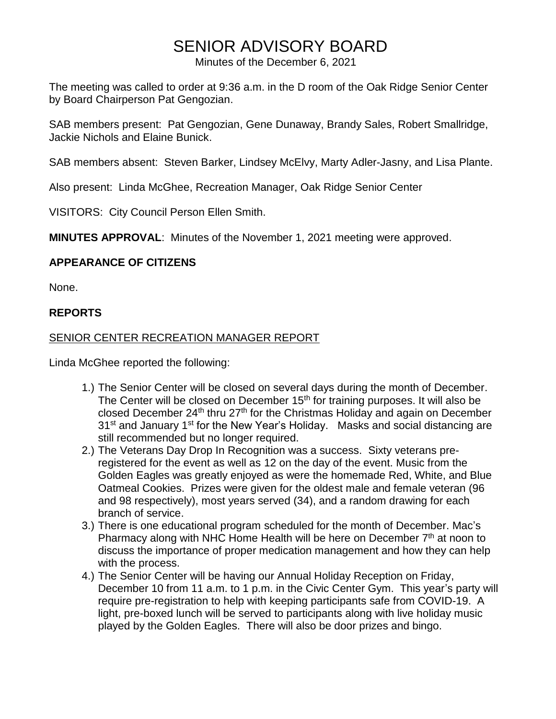# SENIOR ADVISORY BOARD

Minutes of the December 6, 2021

The meeting was called to order at 9:36 a.m. in the D room of the Oak Ridge Senior Center by Board Chairperson Pat Gengozian.

SAB members present: Pat Gengozian, Gene Dunaway, Brandy Sales, Robert Smallridge, Jackie Nichols and Elaine Bunick.

SAB members absent: Steven Barker, Lindsey McElvy, Marty Adler-Jasny, and Lisa Plante.

Also present: Linda McGhee, Recreation Manager, Oak Ridge Senior Center

VISITORS: City Council Person Ellen Smith.

**MINUTES APPROVAL**: Minutes of the November 1, 2021 meeting were approved.

#### **APPEARANCE OF CITIZENS**

None.

#### **REPORTS**

#### SENIOR CENTER RECREATION MANAGER REPORT

Linda McGhee reported the following:

- 1.) The Senior Center will be closed on several days during the month of December. The Center will be closed on December 15<sup>th</sup> for training purposes. It will also be closed December  $24<sup>th</sup>$  thru  $27<sup>th</sup>$  for the Christmas Holiday and again on December 31<sup>st</sup> and January 1<sup>st</sup> for the New Year's Holiday. Masks and social distancing are still recommended but no longer required.
- 2.) The Veterans Day Drop In Recognition was a success. Sixty veterans preregistered for the event as well as 12 on the day of the event. Music from the Golden Eagles was greatly enjoyed as were the homemade Red, White, and Blue Oatmeal Cookies. Prizes were given for the oldest male and female veteran (96 and 98 respectively), most years served (34), and a random drawing for each branch of service.
- 3.) There is one educational program scheduled for the month of December. Mac's Pharmacy along with NHC Home Health will be here on December  $7<sup>th</sup>$  at noon to discuss the importance of proper medication management and how they can help with the process.
- 4.) The Senior Center will be having our Annual Holiday Reception on Friday, December 10 from 11 a.m. to 1 p.m. in the Civic Center Gym. This year's party will require pre-registration to help with keeping participants safe from COVID-19. A light, pre-boxed lunch will be served to participants along with live holiday music played by the Golden Eagles. There will also be door prizes and bingo.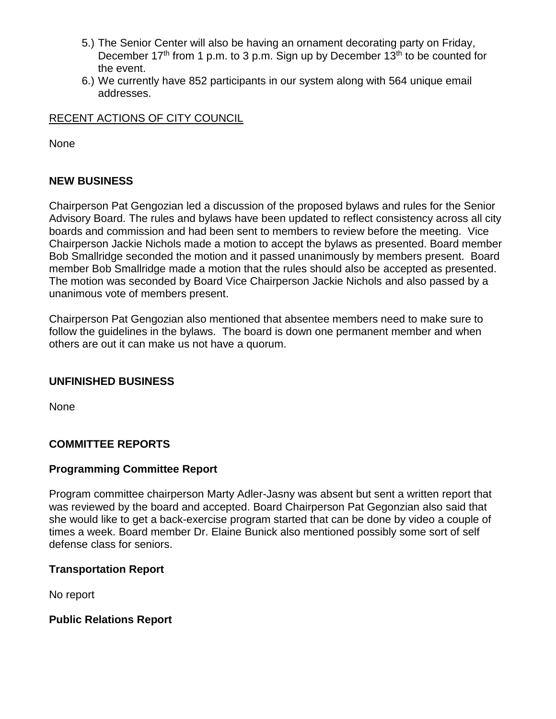- 5.) The Senior Center will also be having an ornament decorating party on Friday, December  $17<sup>th</sup>$  from 1 p.m. to 3 p.m. Sign up by December  $13<sup>th</sup>$  to be counted for the event.
- 6.) We currently have 852 participants in our system along with 564 unique email addresses.

## RECENT ACTIONS OF CITY COUNCIL

None

## **NEW BUSINESS**

Chairperson Pat Gengozian led a discussion of the proposed bylaws and rules for the Senior Advisory Board. The rules and bylaws have been updated to reflect consistency across all city boards and commission and had been sent to members to review before the meeting. Vice Chairperson Jackie Nichols made a motion to accept the bylaws as presented. Board member Bob Smallridge seconded the motion and it passed unanimously by members present. Board member Bob Smallridge made a motion that the rules should also be accepted as presented. The motion was seconded by Board Vice Chairperson Jackie Nichols and also passed by a unanimous vote of members present.

Chairperson Pat Gengozian also mentioned that absentee members need to make sure to follow the guidelines in the bylaws. The board is down one permanent member and when others are out it can make us not have a quorum.

#### **UNFINISHED BUSINESS**

None

## **COMMITTEE REPORTS**

#### **Programming Committee Report**

Program committee chairperson Marty Adler-Jasny was absent but sent a written report that was reviewed by the board and accepted. Board Chairperson Pat Gegonzian also said that she would like to get a back-exercise program started that can be done by video a couple of times a week. Board member Dr. Elaine Bunick also mentioned possibly some sort of self defense class for seniors.

#### **Transportation Report**

No report

## **Public Relations Report**